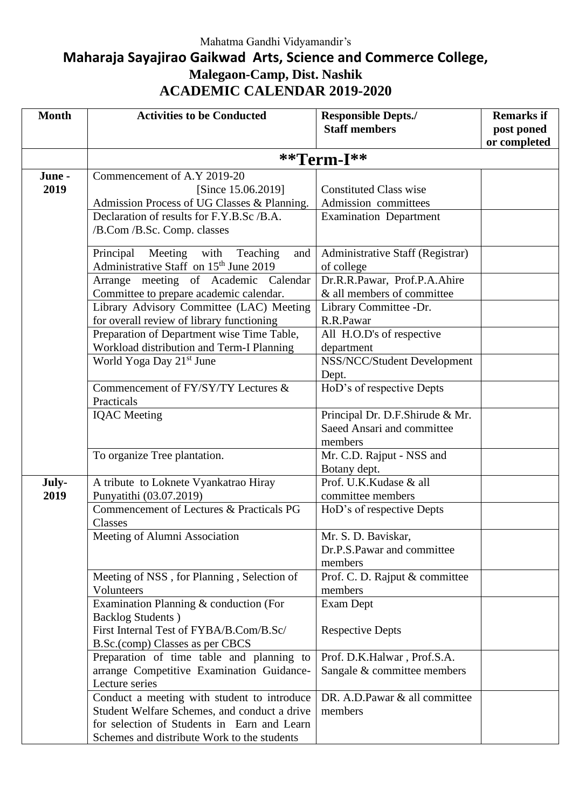## **Maharaja Sayajirao Gaikwad Arts, Science and Commerce College, Malegaon-Camp, Dist. Nashik ACADEMIC CALENDAR 2019-2020**

| <b>Month</b>   | <b>Activities to be Conducted</b>                                                                                                                                                         | <b>Responsible Depts./</b><br><b>Staff members</b>                       | <b>Remarks if</b><br>post poned |
|----------------|-------------------------------------------------------------------------------------------------------------------------------------------------------------------------------------------|--------------------------------------------------------------------------|---------------------------------|
|                |                                                                                                                                                                                           |                                                                          | or completed                    |
|                | $*$ <sup>*</sup> Term-I $*$ *                                                                                                                                                             |                                                                          |                                 |
| June -<br>2019 | Commencement of A.Y 2019-20<br>[Since 15.06.2019]<br>Admission Process of UG Classes & Planning.                                                                                          | <b>Constituted Class wise</b><br>Admission committees                    |                                 |
|                | Declaration of results for F.Y.B.Sc /B.A.<br>/B.Com /B.Sc. Comp. classes                                                                                                                  | <b>Examination Department</b>                                            |                                 |
|                | Principal Meeting with Teaching<br>and<br>Administrative Staff on 15 <sup>th</sup> June 2019                                                                                              | Administrative Staff (Registrar)<br>of college                           |                                 |
|                | Arrange meeting of Academic Calendar<br>Committee to prepare academic calendar.                                                                                                           | Dr.R.R.Pawar, Prof.P.A.Ahire<br>& all members of committee               |                                 |
|                | Library Advisory Committee (LAC) Meeting<br>for overall review of library functioning                                                                                                     | Library Committee -Dr.<br>R.R.Pawar                                      |                                 |
|                | Preparation of Department wise Time Table,<br>Workload distribution and Term-I Planning                                                                                                   | All H.O.D's of respective<br>department                                  |                                 |
|                | World Yoga Day 21 <sup>st</sup> June                                                                                                                                                      | NSS/NCC/Student Development<br>Dept.                                     |                                 |
|                | Commencement of FY/SY/TY Lectures &<br>Practicals                                                                                                                                         | HoD's of respective Depts                                                |                                 |
|                | <b>IQAC</b> Meeting                                                                                                                                                                       | Principal Dr. D.F.Shirude & Mr.<br>Saeed Ansari and committee<br>members |                                 |
|                | To organize Tree plantation.                                                                                                                                                              | Mr. C.D. Rajput - NSS and<br>Botany dept.                                |                                 |
| July-<br>2019  | A tribute to Loknete Vyankatrao Hiray<br>Punyatithi (03.07.2019)                                                                                                                          | Prof. U.K.Kudase & all<br>committee members                              |                                 |
|                | Commencement of Lectures & Practicals PG<br>Classes                                                                                                                                       | HoD's of respective Depts                                                |                                 |
|                | Meeting of Alumni Association                                                                                                                                                             | Mr. S. D. Baviskar,<br>Dr.P.S.Pawar and committee<br>members             |                                 |
|                | Meeting of NSS, for Planning, Selection of<br>Volunteers                                                                                                                                  | Prof. C. D. Rajput & committee<br>members                                |                                 |
|                | Examination Planning & conduction (For<br><b>Backlog Students</b> )                                                                                                                       | Exam Dept                                                                |                                 |
|                | First Internal Test of FYBA/B.Com/B.Sc/<br>B.Sc.(comp) Classes as per CBCS                                                                                                                | <b>Respective Depts</b>                                                  |                                 |
|                | Preparation of time table and planning to<br>arrange Competitive Examination Guidance-<br>Lecture series                                                                                  | Prof. D.K.Halwar, Prof.S.A.<br>Sangale & committee members               |                                 |
|                | Conduct a meeting with student to introduce<br>Student Welfare Schemes, and conduct a drive<br>for selection of Students in Earn and Learn<br>Schemes and distribute Work to the students | DR. A.D. Pawar & all committee<br>members                                |                                 |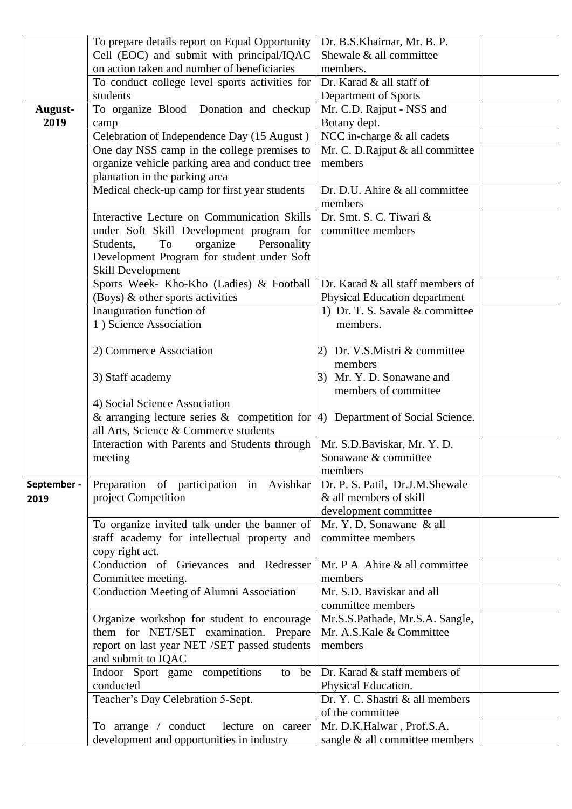|             | To prepare details report on Equal Opportunity                                         | Dr. B.S.Khairnar, Mr. B. P.                            |
|-------------|----------------------------------------------------------------------------------------|--------------------------------------------------------|
|             | Cell (EOC) and submit with principal/IQAC                                              | Shewale & all committee                                |
|             | on action taken and number of beneficiaries                                            | members.                                               |
|             | To conduct college level sports activities for                                         | Dr. Karad & all staff of                               |
|             | students                                                                               | Department of Sports                                   |
| August-     | To organize Blood Donation and checkup                                                 | Mr. C.D. Rajput - NSS and                              |
| 2019        | camp                                                                                   | Botany dept.                                           |
|             | Celebration of Independence Day (15 August)                                            | NCC in-charge & all cadets                             |
|             | One day NSS camp in the college premises to                                            | Mr. C. D. Rajput & all committee                       |
|             | organize vehicle parking area and conduct tree                                         | members                                                |
|             | plantation in the parking area                                                         |                                                        |
|             | Medical check-up camp for first year students                                          | Dr. D.U. Ahire & all committee                         |
|             |                                                                                        | members                                                |
|             | Interactive Lecture on Communication Skills                                            | Dr. Smt. S. C. Tiwari &                                |
|             | under Soft Skill Development program for                                               | committee members                                      |
|             | organize<br>Students,<br>To<br>Personality                                             |                                                        |
|             | Development Program for student under Soft                                             |                                                        |
|             | Skill Development                                                                      |                                                        |
|             | Sports Week- Kho-Kho (Ladies) & Football                                               | Dr. Karad & all staff members of                       |
|             | (Boys) & other sports activities                                                       | Physical Education department                          |
|             | Inauguration function of<br>1) Science Association                                     | 1) Dr. T. S. Savale & committee<br>members.            |
|             |                                                                                        |                                                        |
|             | 2) Commerce Association                                                                | 2) Dr. V.S.Mistri $&$ committee                        |
|             |                                                                                        | members                                                |
|             | 3) Staff academy                                                                       | 3) Mr. Y. D. Sonawane and                              |
|             |                                                                                        | members of committee                                   |
|             | 4) Social Science Association                                                          |                                                        |
|             | & arranging lecture series & competition for $ 4\rangle$ Department of Social Science. |                                                        |
|             | all Arts, Science & Commerce students                                                  |                                                        |
|             | Interaction with Parents and Students through                                          | Mr. S.D.Baviskar, Mr. Y. D.                            |
|             | meeting                                                                                | Sonawane & committee                                   |
|             |                                                                                        | members                                                |
| September - | Preparation of participation in Avishkar                                               | Dr. P. S. Patil, Dr.J.M.Shewale                        |
| 2019        | project Competition                                                                    | & all members of skill                                 |
|             |                                                                                        | development committee                                  |
|             | To organize invited talk under the banner of                                           | Mr. Y. D. Sonawane & all                               |
|             | staff academy for intellectual property and                                            | committee members                                      |
|             | copy right act.                                                                        |                                                        |
|             | Conduction of Grievances and Redresser                                                 | Mr. P A Ahire & all committee                          |
|             | Committee meeting.                                                                     | members                                                |
|             | Conduction Meeting of Alumni Association                                               | Mr. S.D. Baviskar and all                              |
|             |                                                                                        | committee members                                      |
|             | Organize workshop for student to encourage                                             | Mr.S.S.Pathade, Mr.S.A. Sangle,                        |
|             | them for NET/SET examination. Prepare                                                  | Mr. A.S.Kale & Committee                               |
|             | report on last year NET /SET passed students                                           | members                                                |
|             | and submit to IQAC                                                                     |                                                        |
|             | Indoor Sport game competitions<br>to be                                                | Dr. Karad & staff members of                           |
|             | conducted                                                                              | Physical Education.<br>Dr. Y. C. Shastri & all members |
|             | Teacher's Day Celebration 5-Sept.                                                      | of the committee                                       |
|             | To arrange / conduct<br>lecture on career                                              | Mr. D.K.Halwar, Prof.S.A.                              |
|             | development and opportunities in industry                                              | sangle & all committee members                         |
|             |                                                                                        |                                                        |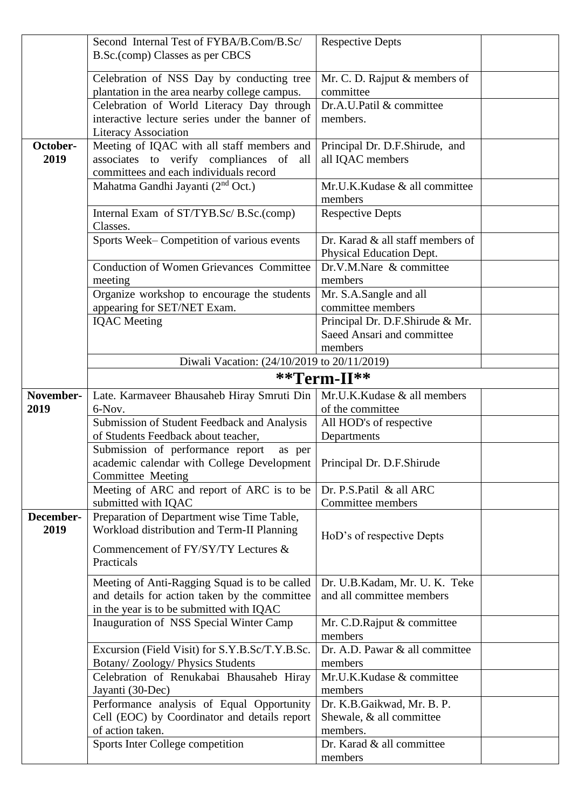|                   | Second Internal Test of FYBA/B.Com/B.Sc/                                                 | <b>Respective Depts</b>               |  |
|-------------------|------------------------------------------------------------------------------------------|---------------------------------------|--|
|                   | B.Sc.(comp) Classes as per CBCS                                                          |                                       |  |
|                   | Celebration of NSS Day by conducting tree                                                | Mr. C. D. Rajput & members of         |  |
|                   | plantation in the area nearby college campus.                                            | committee                             |  |
|                   | Celebration of World Literacy Day through                                                | Dr.A.U.Patil & committee              |  |
|                   | interactive lecture series under the banner of                                           | members.                              |  |
|                   | <b>Literacy Association</b>                                                              |                                       |  |
| October-          | Meeting of IQAC with all staff members and                                               | Principal Dr. D.F.Shirude, and        |  |
| 2019              | associates to verify compliances of<br>all                                               | all IQAC members                      |  |
|                   | committees and each individuals record                                                   |                                       |  |
|                   | Mahatma Gandhi Jayanti (2 <sup>nd</sup> Oct.)                                            | Mr.U.K.Kudase & all committee         |  |
|                   |                                                                                          | members                               |  |
|                   | Internal Exam of ST/TYB.Sc/ B.Sc.(comp)<br>Classes.                                      | <b>Respective Depts</b>               |  |
|                   | Sports Week-Competition of various events                                                | Dr. Karad & all staff members of      |  |
|                   |                                                                                          | Physical Education Dept.              |  |
|                   | <b>Conduction of Women Grievances Committee</b>                                          | Dr.V.M.Nare & committee               |  |
|                   | meeting                                                                                  | members                               |  |
|                   | Organize workshop to encourage the students                                              | Mr. S.A.Sangle and all                |  |
|                   | appearing for SET/NET Exam.                                                              | committee members                     |  |
|                   | <b>IQAC</b> Meeting                                                                      | Principal Dr. D.F.Shirude & Mr.       |  |
|                   |                                                                                          | Saeed Ansari and committee            |  |
|                   |                                                                                          | members                               |  |
|                   | Diwali Vacation: (24/10/2019 to 20/11/2019)                                              |                                       |  |
|                   |                                                                                          | **Term-II**                           |  |
| November-         | Late. Karmaveer Bhausaheb Hiray Smruti Din                                               | Mr.U.K.Kudase & all members           |  |
| 2019              | 6-Nov.                                                                                   | of the committee                      |  |
|                   |                                                                                          |                                       |  |
|                   | Submission of Student Feedback and Analysis                                              | All HOD's of respective               |  |
|                   | of Students Feedback about teacher,                                                      | Departments                           |  |
|                   | Submission of performance report<br>as per                                               |                                       |  |
|                   | academic calendar with College Development   Principal Dr. D.F.Shirude                   |                                       |  |
|                   | Committee Meeting                                                                        |                                       |  |
|                   | Meeting of ARC and report of ARC is to be                                                | Dr. P.S.Patil & all ARC               |  |
|                   | submitted with IQAC                                                                      | Committee members                     |  |
| December-<br>2019 | Preparation of Department wise Time Table,<br>Workload distribution and Term-II Planning |                                       |  |
|                   |                                                                                          | HoD's of respective Depts             |  |
|                   | Commencement of FY/SY/TY Lectures &                                                      |                                       |  |
|                   | Practicals                                                                               |                                       |  |
|                   | Meeting of Anti-Ragging Squad is to be called                                            | Dr. U.B.Kadam, Mr. U.K. Teke          |  |
|                   | and details for action taken by the committee                                            | and all committee members             |  |
|                   | in the year is to be submitted with IQAC                                                 |                                       |  |
|                   | Inauguration of NSS Special Winter Camp                                                  | Mr. C.D.Rajput & committee<br>members |  |
|                   | Excursion (Field Visit) for S.Y.B.Sc/T.Y.B.Sc.                                           | Dr. A.D. Pawar & all committee        |  |
|                   | Botany/Zoology/Physics Students                                                          | members                               |  |
|                   | Celebration of Renukabai Bhausaheb Hiray                                                 | Mr.U.K.Kudase & committee             |  |
|                   | Jayanti (30-Dec)                                                                         | members                               |  |
|                   | Performance analysis of Equal Opportunity                                                | Dr. K.B.Gaikwad, Mr. B. P.            |  |
|                   | Cell (EOC) by Coordinator and details report                                             | Shewale, & all committee              |  |
|                   | of action taken.                                                                         | members.                              |  |
|                   | Sports Inter College competition                                                         | Dr. Karad & all committee<br>members  |  |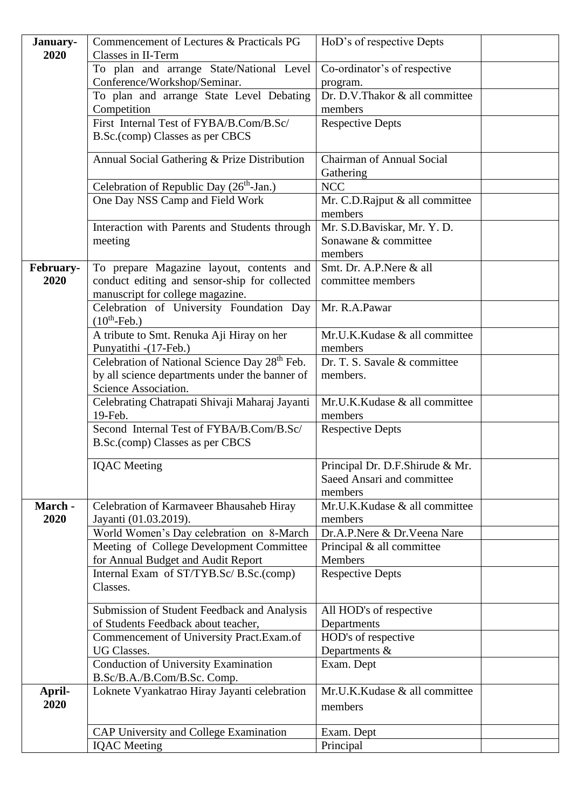| January-  | Commencement of Lectures & Practicals PG                                    | HoD's of respective Depts                     |
|-----------|-----------------------------------------------------------------------------|-----------------------------------------------|
| 2020      | Classes in II-Term                                                          |                                               |
|           | To plan and arrange State/National Level                                    | Co-ordinator's of respective                  |
|           | Conference/Workshop/Seminar.                                                | program.                                      |
|           | To plan and arrange State Level Debating                                    | Dr. D.V.Thakor & all committee                |
|           | Competition                                                                 | members                                       |
|           | First Internal Test of FYBA/B.Com/B.Sc/                                     | <b>Respective Depts</b>                       |
|           | B.Sc.(comp) Classes as per CBCS                                             |                                               |
|           | Annual Social Gathering & Prize Distribution                                | <b>Chairman of Annual Social</b><br>Gathering |
|           | Celebration of Republic Day $(26th-Jan.)$                                   | <b>NCC</b>                                    |
|           | One Day NSS Camp and Field Work                                             | Mr. C.D.Rajput & all committee                |
|           |                                                                             | members                                       |
|           | Interaction with Parents and Students through                               | Mr. S.D.Baviskar, Mr. Y. D.                   |
|           | meeting                                                                     | Sonawane & committee                          |
|           |                                                                             | members                                       |
| February- | To prepare Magazine layout, contents and                                    | Smt. Dr. A.P.Nere & all                       |
| 2020      | conduct editing and sensor-ship for collected                               | committee members                             |
|           | manuscript for college magazine.                                            |                                               |
|           | Celebration of University Foundation Day<br>$(10th-Feb.)$                   | Mr. R.A.Pawar                                 |
|           | A tribute to Smt. Renuka Aji Hiray on her                                   | Mr.U.K.Kudase & all committee                 |
|           | Punyatithi -(17-Feb.)                                                       | members                                       |
|           | Celebration of National Science Day 28th Feb.                               | Dr. T. S. Savale & committee                  |
|           | by all science departments under the banner of                              | members.                                      |
|           | Science Association.                                                        |                                               |
|           | Celebrating Chatrapati Shivaji Maharaj Jayanti                              | Mr.U.K.Kudase & all committee                 |
|           | 19-Feb.                                                                     | members                                       |
|           | Second Internal Test of FYBA/B.Com/B.Sc/<br>B.Sc.(comp) Classes as per CBCS | <b>Respective Depts</b>                       |
|           |                                                                             |                                               |
|           | <b>IQAC</b> Meeting                                                         | Principal Dr. D.F.Shirude & Mr.               |
|           |                                                                             | Saeed Ansari and committee                    |
|           |                                                                             | members                                       |
| March -   | Celebration of Karmaveer Bhausaheb Hiray                                    | Mr.U.K.Kudase & all committee                 |
| 2020      | Jayanti (01.03.2019).                                                       | members                                       |
|           | World Women's Day celebration on 8-March                                    | Dr.A.P.Nere & Dr.Veena Nare                   |
|           | Meeting of College Development Committee                                    | Principal & all committee                     |
|           | for Annual Budget and Audit Report                                          | <b>Members</b>                                |
|           | Internal Exam of ST/TYB.Sc/ B.Sc.(comp)                                     | <b>Respective Depts</b>                       |
|           | Classes.                                                                    |                                               |
|           | Submission of Student Feedback and Analysis                                 | All HOD's of respective                       |
|           | of Students Feedback about teacher,                                         | Departments                                   |
|           | Commencement of University Pract.Exam.of                                    | HOD's of respective                           |
|           | <b>UG Classes.</b>                                                          | Departments $\&$                              |
|           | <b>Conduction of University Examination</b>                                 | Exam. Dept                                    |
|           | B.Sc/B.A./B.Com/B.Sc. Comp.                                                 |                                               |
| April-    | Loknete Vyankatrao Hiray Jayanti celebration                                | Mr.U.K.Kudase & all committee                 |
| 2020      |                                                                             |                                               |
|           |                                                                             | members                                       |
|           |                                                                             |                                               |
|           | CAP University and College Examination                                      | Exam. Dept                                    |
|           | <b>IQAC</b> Meeting                                                         | Principal                                     |